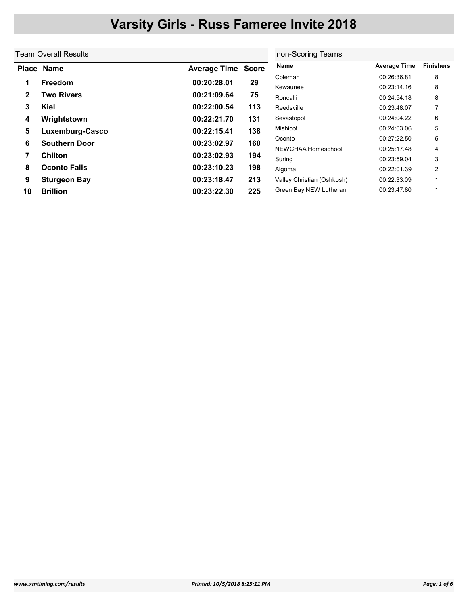| Team Overall Results        | non-Scoring Teams                                                             |                                                          |                            |                     |                  |
|-----------------------------|-------------------------------------------------------------------------------|----------------------------------------------------------|----------------------------|---------------------|------------------|
| <b>Name</b><br><b>Place</b> | <b>Average Time</b>                                                           | <b>Score</b>                                             | <b>Name</b>                | <b>Average Time</b> | <b>Finishers</b> |
|                             |                                                                               |                                                          | Coleman                    | 00:26:36.81         | 8                |
|                             |                                                                               |                                                          | Kewaunee                   | 00:23:14.16         | 8                |
|                             |                                                                               |                                                          | Roncalli                   | 00:24:54.18         | 8                |
| Kiel                        | 00:22:00.54                                                                   | 113                                                      | Reedsville                 | 00:23:48.07         |                  |
| Wrightstown                 | 00:22:21.70                                                                   | 131                                                      | Sevastopol                 | 00:24:04.22         | 6                |
| Luxemburg-Casco             | 00:22:15.41                                                                   | 138                                                      | Mishicot                   | 00:24:03.06         | 5                |
|                             |                                                                               |                                                          | Oconto                     | 00:27:22.50         | 5                |
|                             |                                                                               |                                                          | NEWCHAA Homeschool         | 00:25:17.48         | 4                |
|                             |                                                                               |                                                          | Suring                     | 00:23:59.04         | 3                |
| <b>Oconto Falls</b>         | 00:23:10.23                                                                   | 198                                                      | Algoma                     | 00:22:01.39         | 2                |
| <b>Sturgeon Bay</b>         | 00:23:18.47                                                                   | 213                                                      | Valley Christian (Oshkosh) | 00:22:33.09         |                  |
| <b>Brillion</b>             | 00:23:22.30                                                                   | 225                                                      | Green Bay NEW Lutheran     | 00:23:47.80         |                  |
|                             | <b>Freedom</b><br><b>Two Rivers</b><br><b>Southern Door</b><br><b>Chilton</b> | 00:20:28.01<br>00:21:09.64<br>00:23:02.97<br>00:23:02.93 | 29<br>75<br>160<br>194     |                     |                  |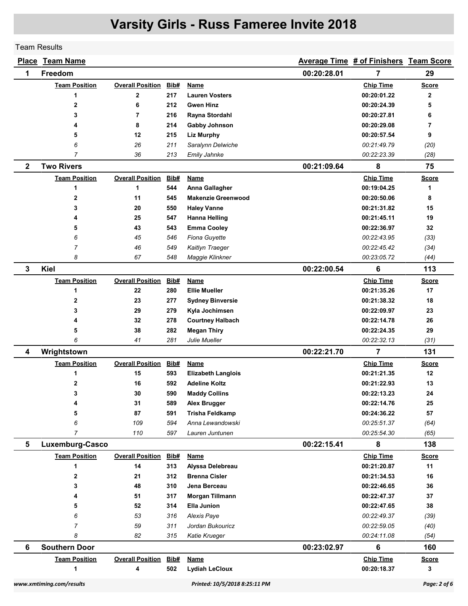Team Results

|              | <b>Place Team Name</b>    |                         |            |                                          |             | Average Time # of Finishers Team Score |              |
|--------------|---------------------------|-------------------------|------------|------------------------------------------|-------------|----------------------------------------|--------------|
| 1            | Freedom                   |                         |            |                                          | 00:20:28.01 | 7                                      | 29           |
|              | <b>Team Position</b>      | <b>Overall Position</b> | Bib#       | <b>Name</b>                              |             | <b>Chip Time</b>                       | <b>Score</b> |
|              | 1                         | $\mathbf 2$             | 217        | <b>Lauren Vosters</b>                    |             | 00:20:01.22                            | $\mathbf{2}$ |
|              | $\mathbf{2}$              | 6                       | 212        | <b>Gwen Hinz</b>                         |             | 00:20:24.39                            | 5            |
|              | 3                         | $\overline{7}$          | 216        | Rayna Stordahl                           |             | 00:20:27.81                            | 6            |
|              | 4                         | 8                       | 214        | <b>Gabby Johnson</b>                     |             | 00:20:29.08                            | 7            |
|              | 5                         | 12                      | 215        | <b>Liz Murphy</b>                        |             | 00:20:57.54                            | 9            |
|              | 6                         | 26                      | 211        | Saralynn Delwiche                        |             | 00:21:49.79                            | (20)         |
|              | 7                         | 36                      | 213        | Emily Jahnke                             |             | 00:22:23.39                            | (28)         |
| $\mathbf{2}$ | <b>Two Rivers</b>         |                         |            |                                          | 00:21:09.64 | 8                                      | 75           |
|              | <b>Team Position</b>      | <b>Overall Position</b> | Bib#       | Name                                     |             | <b>Chip Time</b>                       | <b>Score</b> |
|              | 1                         | 1                       | 544        | Anna Gallagher                           |             | 00:19:04.25                            | 1            |
|              | 2                         | 11                      | 545        | <b>Makenzie Greenwood</b>                |             | 00:20:50.06                            | 8            |
|              | 3                         | 20                      | 550        | <b>Haley Vanne</b>                       |             | 00:21:31.82                            | 15           |
|              | 4                         | 25                      | 547        | <b>Hanna Helling</b>                     |             | 00:21:45.11                            | 19           |
|              | 5                         | 43                      | 543        | <b>Emma Cooley</b>                       |             | 00:22:36.97                            | 32           |
|              | 6                         | 45                      | 546        | Fiona Guyette                            |             | 00:22:43.95                            | (33)         |
|              | 7                         | 46                      | 549        | Kaitlyn Traeger                          |             | 00:22:45.42                            | (34)         |
|              | 8                         | 67                      | 548        | Maggie Klinkner                          |             | 00:23:05.72                            | (44)         |
| 3            | Kiel                      |                         |            |                                          | 00:22:00.54 | 6                                      | 113          |
|              | <b>Team Position</b>      | <b>Overall Position</b> | Bib#       | Name                                     |             | <b>Chip Time</b>                       | <b>Score</b> |
|              | 1                         | 22                      | 280        | <b>Ellie Mueller</b>                     |             | 00:21:35.26                            | 17           |
|              | 2                         | 23                      | 277        | <b>Sydney Binversie</b>                  |             | 00:21:38.32                            | 18           |
|              | 3                         | 29                      | 279        | Kyla Jochimsen                           |             | 00:22:09.97                            | 23           |
|              | 4                         | 32                      | 278        | <b>Courtney Halbach</b>                  |             | 00:22:14.78                            | 26           |
|              | 5                         | 38                      | 282        | <b>Megan Thiry</b>                       |             | 00:22:24.35                            | 29           |
|              | 6                         | 41                      | 281        | Julie Mueller                            |             | 00:22:32.13                            | (31)         |
| 4            | Wrightstown               |                         |            |                                          | 00:22:21.70 | $\overline{7}$                         | 131          |
|              | <b>Team Position</b>      | <b>Overall Position</b> | Bib#       | <b>Name</b>                              |             | <b>Chip Time</b>                       | <u>Score</u> |
|              | 1                         | 15                      | 593        | <b>Elizabeth Langlois</b>                |             | 00:21:21.35                            | 12           |
|              | 2                         | 16                      | 592        | <b>Adeline Koltz</b>                     |             | 00:21:22.93                            | 13           |
|              | 3                         | 30                      | 590        | <b>Maddy Collins</b>                     |             | 00:22:13.23                            | 24           |
|              | 4                         | 31                      | 589        | <b>Alex Brugger</b>                      |             | 00:22:14.76                            | 25           |
|              | 5                         | 87                      | 591        | <b>Trisha Feldkamp</b>                   |             | 00:24:36.22                            | 57           |
|              |                           |                         |            |                                          |             |                                        |              |
|              | 6<br>$\overline{7}$       | 109<br>110              | 594<br>597 | Anna Lewandowski<br>Lauren Juntunen      |             | 00:25:51.37<br>00:25:54.30             | (64)         |
| 5            | Luxemburg-Casco           |                         |            |                                          | 00:22:15.41 | 8                                      | (65)<br>138  |
|              |                           | <b>Overall Position</b> | Bib#       | Name                                     |             | <b>Chip Time</b>                       |              |
|              | <b>Team Position</b><br>1 |                         |            |                                          |             | 00:21:20.87                            | <b>Score</b> |
|              | $\mathbf 2$               | 14<br>21                | 313<br>312 | Alyssa Delebreau<br><b>Brenna Cisler</b> |             | 00:21:34.53                            | 11<br>16     |
|              | 3                         |                         |            | Jena Berceau                             |             |                                        | 36           |
|              |                           | 48                      | 310        |                                          |             | 00:22:46.65<br>00:22:47.37             |              |
|              | 4                         | 51                      | 317        | Morgan Tillmann                          |             |                                        | 37           |
|              | 5                         | 52                      | 314        | <b>Ella Junion</b>                       |             | 00:22:47.65                            | 38           |
|              | 6                         | 53                      | 316        | Alexis Paye                              |             | 00:22:49.37                            | (39)         |
|              | 7                         | 59                      | 311        | Jordan Bukouricz                         |             | 00:22:59.05                            | (40)         |
|              | 8                         | 82                      | 315        | Katie Krueger                            |             | 00:24:11.08                            | (54)         |
| 6            | <b>Southern Door</b>      |                         |            |                                          | 00:23:02.97 | $6\phantom{a}$                         | 160          |
|              | <b>Team Position</b>      | <b>Overall Position</b> | Bib#       | <b>Name</b>                              |             | <b>Chip Time</b>                       | <b>Score</b> |
|              | 1                         | 4                       | 502        | <b>Lydiah LeCloux</b>                    |             | 00:20:18.37                            | 3            |
|              | www.xmtiming.com/results  |                         |            | Printed: 10/5/2018 8:25:11 PM            |             |                                        | Page: 2 of 6 |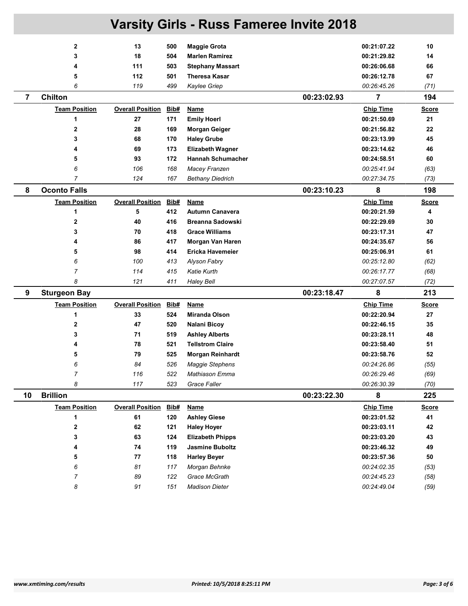|                | <b>Varsity Girls - Russ Fameree Invite 2018</b> |                              |      |                          |             |                  |              |  |  |
|----------------|-------------------------------------------------|------------------------------|------|--------------------------|-------------|------------------|--------------|--|--|
|                | $\mathbf{2}$                                    | 13                           | 500  | <b>Maggie Grota</b>      |             | 00:21:07.22      | 10           |  |  |
|                | 3                                               | 18                           | 504  | <b>Marlen Ramirez</b>    |             | 00:21:29.82      | 14           |  |  |
|                | 4                                               | 111                          | 503  | <b>Stephany Massart</b>  |             | 00:26:06.68      | 66           |  |  |
|                | 5                                               | 112                          | 501  | <b>Theresa Kasar</b>     |             | 00:26:12.78      | 67           |  |  |
|                | 6                                               | 119                          | 499  | Kaylee Griep             |             | 00:26:45.26      | (71)         |  |  |
| $\overline{7}$ | <b>Chilton</b>                                  |                              |      |                          | 00:23:02.93 | 7                | 194          |  |  |
|                | <b>Team Position</b>                            | <b>Overall Position</b>      | Bib# | Name                     |             | <b>Chip Time</b> | <b>Score</b> |  |  |
|                | 1                                               | 27                           | 171  | <b>Emily Hoerl</b>       |             | 00:21:50.69      | 21           |  |  |
|                | $\mathbf{2}$                                    | 28                           | 169  | <b>Morgan Geiger</b>     |             | 00:21:56.82      | 22           |  |  |
|                | 3                                               | 68                           | 170  | <b>Haley Grube</b>       |             | 00:23:13.99      | 45           |  |  |
|                | 4                                               | 69                           | 173  | <b>Elizabeth Wagner</b>  |             | 00:23:14.62      | 46           |  |  |
|                | 5                                               | 93                           | 172  | <b>Hannah Schumacher</b> |             | 00:24:58.51      | 60           |  |  |
|                | 6                                               | 106                          | 168  | <b>Macey Franzen</b>     |             | 00:25:41.94      | (63)         |  |  |
|                | $\overline{7}$                                  | 124                          | 167  | <b>Bethany Diedrich</b>  |             | 00:27:34.75      | (73)         |  |  |
| 8              | <b>Oconto Falls</b>                             |                              |      |                          | 00:23:10.23 | 8                | 198          |  |  |
|                | <b>Team Position</b>                            | <b>Overall Position</b>      | Bib# | <b>Name</b>              |             | <b>Chip Time</b> | <b>Score</b> |  |  |
|                | 1                                               | 5                            | 412  | <b>Autumn Canavera</b>   |             | 00:20:21.59      | 4            |  |  |
|                | 2                                               | 40                           | 416  | <b>Breanna Sadowski</b>  |             | 00:22:29.69      | 30           |  |  |
|                | 3                                               | 70                           | 418  | <b>Grace Williams</b>    |             | 00:23:17.31      | 47           |  |  |
|                | 4                                               | 86                           | 417  | Morgan Van Haren         |             | 00:24:35.67      | 56           |  |  |
|                | 5                                               | 98                           | 414  | Ericka Havemeier         |             | 00:25:06.91      | 61           |  |  |
|                | 6                                               | 100                          | 413  | Alyson Fabry             |             | 00:25:12.80      | (62)         |  |  |
|                | 7                                               | 114                          | 415  | Katie Kurth              |             | 00:26:17.77      | (68)         |  |  |
|                | 8                                               | 121                          | 411  | <b>Haley Bell</b>        |             | 00:27:07.57      | (72)         |  |  |
| 9              | <b>Sturgeon Bay</b>                             |                              |      |                          | 00:23:18.47 | 8                | 213          |  |  |
|                | <b>Team Position</b>                            | <b>Overall Position</b>      | Bib# | Name                     |             | <b>Chip Time</b> | Score        |  |  |
|                | 1                                               | 33                           | 524  | Miranda Olson            |             | 00:22:20.94      | 27           |  |  |
|                | 2                                               | 47                           | 520  | Nalani Bicoy             |             | 00:22:46.15      | 35           |  |  |
|                | 3                                               | 71                           | 519  | <b>Ashley Alberts</b>    |             | 00:23:28.11      | 48           |  |  |
|                | 4                                               | 78                           | 521  | <b>Tellstrom Claire</b>  |             | 00:23:58.40      | 51           |  |  |
|                | 5                                               | 79                           | 525  | <b>Morgan Reinhardt</b>  |             | 00:23:58.76      | 52           |  |  |
|                | 6                                               | 84                           | 526  | <b>Maggie Stephens</b>   |             | 00:24:26.86      | (55)         |  |  |
|                | $\overline{7}$                                  | 116                          | 522  | Mathiason Emma           |             | 00:26:29.46      | (69)         |  |  |
|                | 8                                               | 117                          | 523  | <b>Grace Faller</b>      |             | 00:26:30.39      | (70)         |  |  |
| 10             | <b>Brillion</b>                                 |                              |      |                          | 00:23:22.30 | 8                | 225          |  |  |
|                | <b>Team Position</b>                            | <b>Overall Position Bib#</b> |      | <b>Name</b>              |             | <b>Chip Time</b> | <b>Score</b> |  |  |
|                | 1                                               | 61                           | 120  | <b>Ashley Giese</b>      |             | 00:23:01.52      | 41           |  |  |
|                | $\bf{2}$                                        | 62                           | 121  | <b>Haley Hoyer</b>       |             | 00:23:03.11      | 42           |  |  |
|                | 3                                               | 63                           | 124  | <b>Elizabeth Phipps</b>  |             | 00:23:03.20      | 43           |  |  |
|                | 4                                               | 74                           | 119  | <b>Jasmine Buboltz</b>   |             | 00:23:46.32      | 49           |  |  |
|                | 5                                               | 77                           | 118  | <b>Harley Beyer</b>      |             | 00:23:57.36      | 50           |  |  |
|                | 6                                               | 81                           | 117  | Morgan Behnke            |             | 00:24:02.35      | (53)         |  |  |
|                | 7                                               | 89                           | 122  | Grace McGrath            |             | 00:24:45.23      | (58)         |  |  |
|                | 8                                               | 91                           | 151  | <b>Madison Dieter</b>    |             | 00:24:49.04      | (59)         |  |  |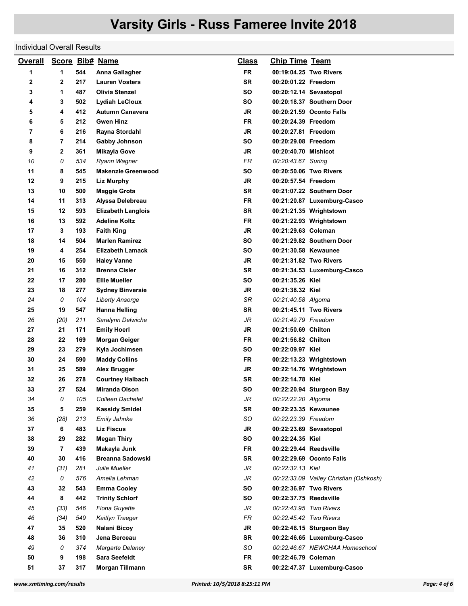## Individual Overall Results

| <b>Overall</b> |                |     | <b>Score Bib# Name</b>    | <u>Class</u> | <b>Chip Time Team</b>  |                                        |
|----------------|----------------|-----|---------------------------|--------------|------------------------|----------------------------------------|
| 1              | 1              | 544 | Anna Gallagher            | <b>FR</b>    |                        | 00:19:04.25 Two Rivers                 |
| 2              | 2              | 217 | <b>Lauren Vosters</b>     | <b>SR</b>    | 00:20:01.22 Freedom    |                                        |
| 3              | 1              | 487 | <b>Olivia Stenzel</b>     | SΟ           |                        | 00:20:12.14 Sevastopol                 |
| 4              | 3              | 502 | <b>Lydiah LeCloux</b>     | SΟ           |                        | 00:20:18.37 Southern Door              |
| 5              | 4              | 412 | <b>Autumn Canavera</b>    | JR           |                        | 00:20:21.59 Oconto Falls               |
| 6              | 5              | 212 | <b>Gwen Hinz</b>          | FR           | 00:20:24.39 Freedom    |                                        |
| 7              | 6              | 216 | Rayna Stordahl            | <b>JR</b>    | 00:20:27.81 Freedom    |                                        |
| 8              | $\overline{7}$ | 214 | <b>Gabby Johnson</b>      | SΟ           | 00:20:29.08 Freedom    |                                        |
| 9              | 2              | 361 | <b>Mikayla Gove</b>       | JR           | 00:20:40.70 Mishicot   |                                        |
| 10             | 0              | 534 | Ryann Wagner              | <b>FR</b>    | 00:20:43.67 Suring     |                                        |
| 11             | 8              | 545 | <b>Makenzie Greenwood</b> | SΟ           |                        | 00:20:50.06 Two Rivers                 |
| 12             | 9              | 215 | <b>Liz Murphy</b>         | <b>JR</b>    | 00:20:57.54 Freedom    |                                        |
| 13             | 10             | 500 | <b>Maggie Grota</b>       | <b>SR</b>    |                        | 00:21:07.22 Southern Door              |
| 14             | 11             | 313 | Alyssa Delebreau          | <b>FR</b>    |                        | 00:21:20.87 Luxemburg-Casco            |
| 15             | 12             | 593 | <b>Elizabeth Langlois</b> | SR           |                        | 00:21:21.35 Wrightstown                |
| 16             | 13             | 592 | <b>Adeline Koltz</b>      | FR           |                        | 00:21:22.93 Wrightstown                |
| 17             | 3              | 193 | <b>Faith King</b>         | <b>JR</b>    | 00:21:29.63 Coleman    |                                        |
| 18             | 14             | 504 | <b>Marlen Ramirez</b>     | SΟ           |                        | 00:21:29.82 Southern Door              |
| 19             | 4              | 254 | <b>Elizabeth Lamack</b>   | SΟ           | 00:21:30.58 Kewaunee   |                                        |
| 20             | 15             | 550 | <b>Haley Vanne</b>        | <b>JR</b>    |                        | 00:21:31.82 Two Rivers                 |
| 21             | 16             | 312 | <b>Brenna Cisler</b>      | <b>SR</b>    |                        | 00:21:34.53 Luxemburg-Casco            |
| 22             | 17             | 280 | <b>Ellie Mueller</b>      | SΟ           | 00:21:35.26 Kiel       |                                        |
| 23             | 18             | 277 | <b>Sydney Binversie</b>   | <b>JR</b>    | 00:21:38.32 Kiel       |                                        |
| 24             | 0              | 104 | <b>Liberty Ansorge</b>    | SR           | 00:21:40.58 Algoma     |                                        |
| 25             | 19             | 547 | Hanna Helling             | SR           |                        | 00:21:45.11 Two Rivers                 |
| 26             | (20)           | 211 | Saralynn Delwiche         | JR           | 00:21:49.79 Freedom    |                                        |
| 27             | 21             | 171 | <b>Emily Hoerl</b>        | JR           | 00:21:50.69 Chilton    |                                        |
| 28             | 22             | 169 | <b>Morgan Geiger</b>      | FR           | 00:21:56.82 Chilton    |                                        |
| 29             | 23             | 279 | Kyla Jochimsen            | SΟ           | 00:22:09.97 Kiel       |                                        |
| 30             | 24             | 590 | <b>Maddy Collins</b>      | FR           |                        | 00:22:13.23 Wrightstown                |
| 31             | 25             | 589 | Alex Brugger              | <b>JR</b>    |                        | 00:22:14.76 Wrightstown                |
| 32             | 26             | 278 | <b>Courtney Halbach</b>   | <b>SR</b>    | 00:22:14.78 Kiel       |                                        |
| 33             | 27             | 524 | Miranda Olson             | SΟ           |                        | 00:22:20.94 Sturgeon Bay               |
| 34             | 0              | 105 | Colleen Dachelet          | JR           | 00:22:22.20 Algoma     |                                        |
| 35             | 5              | 259 | <b>Kassidy Smidel</b>     | <b>SR</b>    | 00:22:23.35 Kewaunee   |                                        |
| 36             | (28)           | 213 | Emily Jahnke              | SO           | 00:22:23.39 Freedom    |                                        |
| 37             | 6              | 483 | <b>Liz Fiscus</b>         | JR           |                        | 00:22:23.69 Sevastopol                 |
| 38             | 29             | 282 | <b>Megan Thiry</b>        | SO           | 00:22:24.35 Kiel       |                                        |
| 39             | $\overline{7}$ | 439 | Makayla Junk              | <b>FR</b>    | 00:22:29.44 Reedsville |                                        |
| 40             | 30             | 416 | <b>Breanna Sadowski</b>   | SR           |                        | 00:22:29.69 Oconto Falls               |
| 41             | (31)           | 281 | Julie Mueller             | JR           | 00:22:32.13 Kiel       |                                        |
| 42             | 0              | 576 | Amelia Lehman             | JR           |                        | 00:22:33.09 Valley Christian (Oshkosh) |
| 43             | 32             | 543 | <b>Emma Cooley</b>        | SO           |                        | 00:22:36.97 Two Rivers                 |
| 44             | 8              | 442 | <b>Trinity Schlorf</b>    | SO           | 00:22:37.75 Reedsville |                                        |
| 45             | (33)           | 546 | Fiona Guyette             | JR           | 00:22:43.95 Two Rivers |                                        |
| 46             | (34)           | 549 | Kaitlyn Traeger           | FR           | 00:22:45.42 Two Rivers |                                        |
| 47             | 35             | 520 | Nalani Bicoy              | JR           |                        | 00:22:46.15 Sturgeon Bay               |
| 48             | 36             | 310 | Jena Berceau              | <b>SR</b>    |                        | 00:22:46.65 Luxemburg-Casco            |
| 49             | 0              | 374 | Margarte Delaney          | SO           |                        | 00:22:46.67 NEWCHAA Homeschool         |
| 50             | 9              | 198 | <b>Sara Seefeldt</b>      | <b>FR</b>    | 00:22:46.79 Coleman    |                                        |
| 51             | 37             | 317 | Morgan Tillmann           | SR           |                        | 00:22:47.37 Luxemburg-Casco            |
|                |                |     |                           |              |                        |                                        |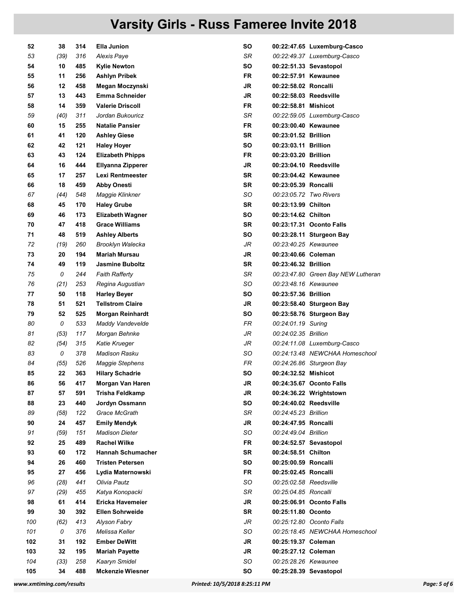| 52  | 38   | 314 | Ella Junion              | SO        |                        | 00:22:47.65 Luxemburg-Casco        |
|-----|------|-----|--------------------------|-----------|------------------------|------------------------------------|
| 53  | (39) | 316 | Alexis Paye              | SR        |                        | 00:22:49.37 Luxemburg-Casco        |
| 54  | 10   | 485 | Kylie Newton             | SΟ        |                        | 00:22:51.33 Sevastopol             |
| 55  | 11   | 256 | Ashlyn Pribek            | FR        | 00:22:57.91 Kewaunee   |                                    |
| 56  | 12   | 458 | Megan Moczynski          | JR        | 00:22:58.02 Roncalli   |                                    |
| 57  | 13   | 443 | <b>Emma Schneider</b>    | JR        | 00:22:58.03 Reedsville |                                    |
| 58  | 14   | 359 | <b>Valerie Driscoll</b>  | <b>FR</b> | 00:22:58.81 Mishicot   |                                    |
| 59  | (40) | 311 | Jordan Bukouricz         | SR        |                        | 00:22:59.05 Luxemburg-Casco        |
| 60  | 15   | 255 | <b>Natalie Pansier</b>   | FR        | 00:23:00.40 Kewaunee   |                                    |
| 61  | 41   | 120 | <b>Ashley Giese</b>      | <b>SR</b> | 00:23:01.52 Brillion   |                                    |
| 62  | 42   | 121 | <b>Haley Hoyer</b>       | SΟ        | 00:23:03.11 Brillion   |                                    |
| 63  | 43   | 124 | <b>Elizabeth Phipps</b>  | FR        | 00:23:03.20 Brillion   |                                    |
| 64  | 16   | 444 | Ellyanna Zipperer        | <b>JR</b> | 00:23:04.10 Reedsville |                                    |
| 65  | 17   | 257 | Lexi Rentmeester         | SR        | 00:23:04.42 Kewaunee   |                                    |
| 66  | 18   | 459 | <b>Abby Onesti</b>       | SR        | 00:23:05.39 Roncalli   |                                    |
| 67  | (44) | 548 | Maggie Klinkner          | SO        | 00:23:05.72 Two Rivers |                                    |
| 68  | 45   | 170 | <b>Haley Grube</b>       | SR        | 00:23:13.99 Chilton    |                                    |
| 69  | 46   | 173 | <b>Elizabeth Wagner</b>  | SΟ        | 00:23:14.62 Chilton    |                                    |
| 70  | 47   | 418 | <b>Grace Williams</b>    | <b>SR</b> |                        | 00:23:17.31 Oconto Falls           |
| 71  | 48   | 519 | <b>Ashley Alberts</b>    | SΟ        |                        | 00:23:28.11 Sturgeon Bay           |
| 72  | (19) | 260 | Brooklyn Walecka         | JR        | 00:23:40.25 Kewaunee   |                                    |
| 73  | 20   | 194 | <b>Mariah Mursau</b>     | JR        | 00:23:40.66 Coleman    |                                    |
| 74  | 49   | 119 | <b>Jasmine Buboltz</b>   | <b>SR</b> | 00:23:46.32 Brillion   |                                    |
| 75  | 0    | 244 | <b>Faith Rafferty</b>    | SR        |                        | 00:23:47.80 Green Bay NEW Lutheran |
| 76  |      | 253 |                          | SO        | 00:23:48.16 Kewaunee   |                                    |
|     | (21) |     | Regina Augustian         | <b>SO</b> |                        |                                    |
| 77  | 50   | 118 | <b>Harley Beyer</b>      |           | 00:23:57.36 Brillion   |                                    |
| 78  | 51   | 521 | <b>Tellstrom Claire</b>  | JR        |                        | 00:23:58.40 Sturgeon Bay           |
| 79  | 52   | 525 | <b>Morgan Reinhardt</b>  | SΟ        |                        | 00:23:58.76 Sturgeon Bay           |
| 80  | 0    | 533 | Maddy Vandevelde         | FR        | 00:24:01.19 Suring     |                                    |
| 81  | (53) | 117 | Morgan Behnke            | JR        | 00:24:02.35 Brillion   |                                    |
| 82  | (54) | 315 | Katie Krueger            | JR        |                        | 00:24:11.08 Luxemburg-Casco        |
| 83  | 0    | 378 | Madison Rasku            | SO        |                        | 00:24:13.48 NEWCHAA Homeschool     |
| 84  | (55) | 526 | <b>Maggie Stephens</b>   | FR        |                        | 00:24:26.86 Sturgeon Bay           |
| 85  | 22   | 363 | <b>Hilary Schadrie</b>   | SO        | 00:24:32.52 Mishicot   |                                    |
| 86  | 56   | 417 | Morgan Van Haren         | JR        |                        | 00:24:35.67 Oconto Falls           |
| 87  | 57   | 591 | Trisha Feldkamp          | JR        |                        | 00:24:36.22 Wrightstown            |
| 88  | 23   | 440 | Jordyn Ossmann           | SO        | 00:24:40.02 Reedsville |                                    |
| 89  | (58) | 122 | Grace McGrath            | SR        | 00:24:45.23 Brillion   |                                    |
| 90  | 24   | 457 | <b>Emily Mendyk</b>      | JR        | 00:24:47.95 Roncalli   |                                    |
| 91  | (59) | 151 | <b>Madison Dieter</b>    | SO        | 00:24:49.04 Brillion   |                                    |
| 92  | 25   | 489 | <b>Rachel Wilke</b>      | FR        |                        | 00:24:52.57 Sevastopol             |
| 93  | 60   | 172 | <b>Hannah Schumacher</b> | <b>SR</b> | 00:24:58.51 Chilton    |                                    |
| 94  | 26   | 460 | <b>Tristen Petersen</b>  | SO        | 00:25:00.59 Roncalli   |                                    |
| 95  | 27   | 456 | Lydia Maternowski        | FR        | 00:25:02.45 Roncalli   |                                    |
| 96  | (28) | 441 | Olivia Pautz             | SO        | 00:25:02.58 Reedsville |                                    |
| 97  | (29) | 455 | Katya Konopacki          | SR        | 00:25:04.85 Roncalli   |                                    |
| 98  | 61   | 414 | Ericka Havemeier         | JR        |                        | 00:25:06.91 Oconto Falls           |
| 99  | 30   | 392 | <b>Ellen Sohrweide</b>   | <b>SR</b> | 00:25:11.80 Oconto     |                                    |
| 100 | (62) | 413 | Alyson Fabry             | JR        |                        | 00:25:12.80 Oconto Falls           |
| 101 | 0    | 376 | Melissa Keller           | SO        |                        | 00:25:18.45 NEWCHAA Homeschool     |
| 102 | 31   | 192 | <b>Ember DeWitt</b>      | <b>JR</b> | 00:25:19.37 Coleman    |                                    |
| 103 | 32   | 195 | <b>Mariah Payette</b>    | JR        | 00:25:27.12 Coleman    |                                    |
| 104 | (33) | 258 | Kaaryn Smidel            | SO        | 00:25:28.26 Kewaunee   |                                    |
| 105 | 34   | 488 | <b>Mckenzie Wiesner</b>  | SO        |                        | 00:25:28.39 Sevastopol             |